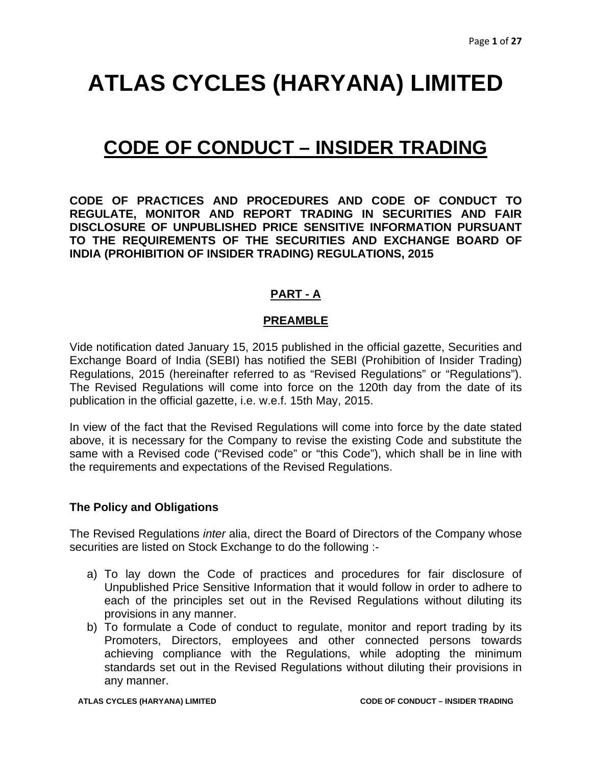### **CODE OF CONDUCT – INSIDER TRADING**

**CODE OF PRACTICES AND PROCEDURES AND CODE OF CONDUCT TO REGULATE, MONITOR AND REPORT TRADING IN SECURITIES AND FAIR DISCLOSURE OF UNPUBLISHED PRICE SENSITIVE INFORMATION PURSUANT TO THE REQUIREMENTS OF THE SECURITIES AND EXCHANGE BOARD OF INDIA (PROHIBITION OF INSIDER TRADING) REGULATIONS, 2015** 

#### **PART - A**

#### **PREAMBLE**

Vide notification dated January 15, 2015 published in the official gazette, Securities and Exchange Board of India (SEBI) has notified the SEBI (Prohibition of Insider Trading) Regulations, 2015 (hereinafter referred to as "Revised Regulations" or "Regulations"). The Revised Regulations will come into force on the 120th day from the date of its publication in the official gazette, i.e. w.e.f. 15th May, 2015.

In view of the fact that the Revised Regulations will come into force by the date stated above, it is necessary for the Company to revise the existing Code and substitute the same with a Revised code ("Revised code" or "this Code"), which shall be in line with the requirements and expectations of the Revised Regulations.

#### **The Policy and Obligations**

The Revised Regulations *inter* alia, direct the Board of Directors of the Company whose securities are listed on Stock Exchange to do the following :-

- a) To lay down the Code of practices and procedures for fair disclosure of Unpublished Price Sensitive Information that it would follow in order to adhere to each of the principles set out in the Revised Regulations without diluting its provisions in any manner.
- b) To formulate a Code of conduct to regulate, monitor and report trading by its Promoters, Directors, employees and other connected persons towards achieving compliance with the Regulations, while adopting the minimum standards set out in the Revised Regulations without diluting their provisions in any manner.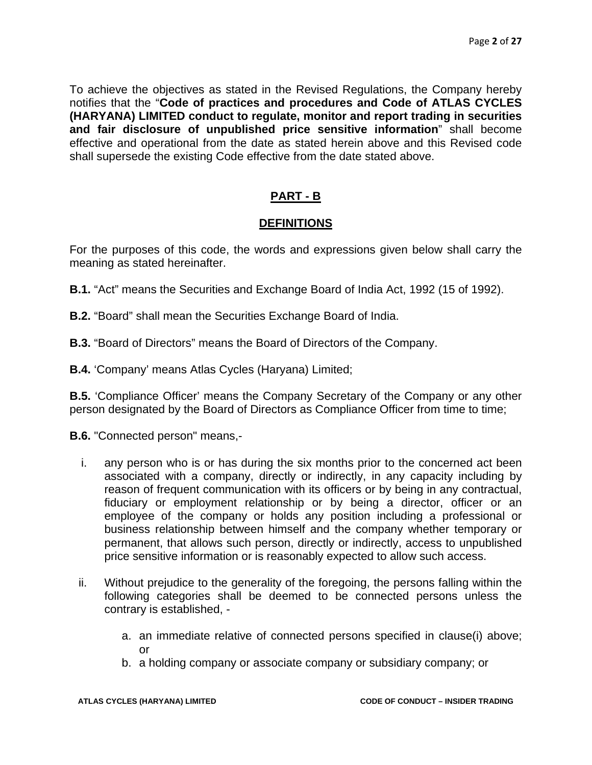To achieve the objectives as stated in the Revised Regulations, the Company hereby notifies that the "**Code of practices and procedures and Code of ATLAS CYCLES (HARYANA) LIMITED conduct to regulate, monitor and report trading in securities and fair disclosure of unpublished price sensitive information**" shall become effective and operational from the date as stated herein above and this Revised code shall supersede the existing Code effective from the date stated above.

#### **PART - B**

#### **DEFINITIONS**

For the purposes of this code, the words and expressions given below shall carry the meaning as stated hereinafter.

- **B.1.** "Act" means the Securities and Exchange Board of India Act, 1992 (15 of 1992).
- **B.2.** "Board" shall mean the Securities Exchange Board of India.
- **B.3.** "Board of Directors" means the Board of Directors of the Company.
- **B.4.** 'Company' means Atlas Cycles (Haryana) Limited;

**B.5.** 'Compliance Officer' means the Company Secretary of the Company or any other person designated by the Board of Directors as Compliance Officer from time to time;

**B.6.** "Connected person" means,-

- i. any person who is or has during the six months prior to the concerned act been associated with a company, directly or indirectly, in any capacity including by reason of frequent communication with its officers or by being in any contractual, fiduciary or employment relationship or by being a director, officer or an employee of the company or holds any position including a professional or business relationship between himself and the company whether temporary or permanent, that allows such person, directly or indirectly, access to unpublished price sensitive information or is reasonably expected to allow such access.
- ii. Without prejudice to the generality of the foregoing, the persons falling within the following categories shall be deemed to be connected persons unless the contrary is established,
	- a. an immediate relative of connected persons specified in clause(i) above; or
	- b. a holding company or associate company or subsidiary company; or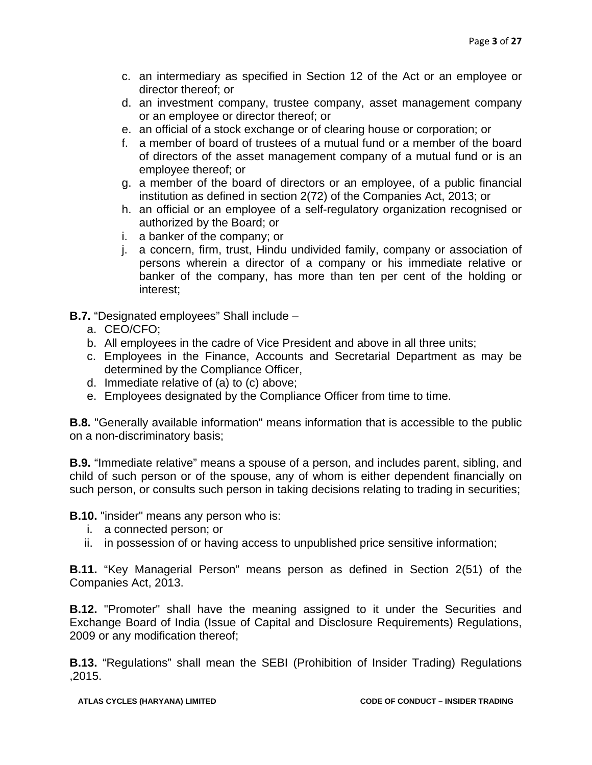- c. an intermediary as specified in Section 12 of the Act or an employee or director thereof; or
- d. an investment company, trustee company, asset management company or an employee or director thereof; or
- e. an official of a stock exchange or of clearing house or corporation; or
- f. a member of board of trustees of a mutual fund or a member of the board of directors of the asset management company of a mutual fund or is an employee thereof; or
- g. a member of the board of directors or an employee, of a public financial institution as defined in section 2(72) of the Companies Act, 2013; or
- h. an official or an employee of a self-regulatory organization recognised or authorized by the Board; or
- i. a banker of the company; or
- j. a concern, firm, trust, Hindu undivided family, company or association of persons wherein a director of a company or his immediate relative or banker of the company, has more than ten per cent of the holding or interest;

**B.7.** "Designated employees" Shall include –

- a. CEO/CFO;
- b. All employees in the cadre of Vice President and above in all three units;
- c. Employees in the Finance, Accounts and Secretarial Department as may be determined by the Compliance Officer,
- d. Immediate relative of (a) to (c) above;
- e. Employees designated by the Compliance Officer from time to time.

**B.8.** "Generally available information" means information that is accessible to the public on a non-discriminatory basis;

**B.9.** "Immediate relative" means a spouse of a person, and includes parent, sibling, and child of such person or of the spouse, any of whom is either dependent financially on such person, or consults such person in taking decisions relating to trading in securities;

**B.10.** "insider" means any person who is:

- i. a connected person; or
- ii. in possession of or having access to unpublished price sensitive information;

**B.11.** "Key Managerial Person" means person as defined in Section 2(51) of the Companies Act, 2013.

**B.12.** "Promoter" shall have the meaning assigned to it under the Securities and Exchange Board of India (Issue of Capital and Disclosure Requirements) Regulations, 2009 or any modification thereof;

**B.13.** "Regulations" shall mean the SEBI (Prohibition of Insider Trading) Regulations ,2015.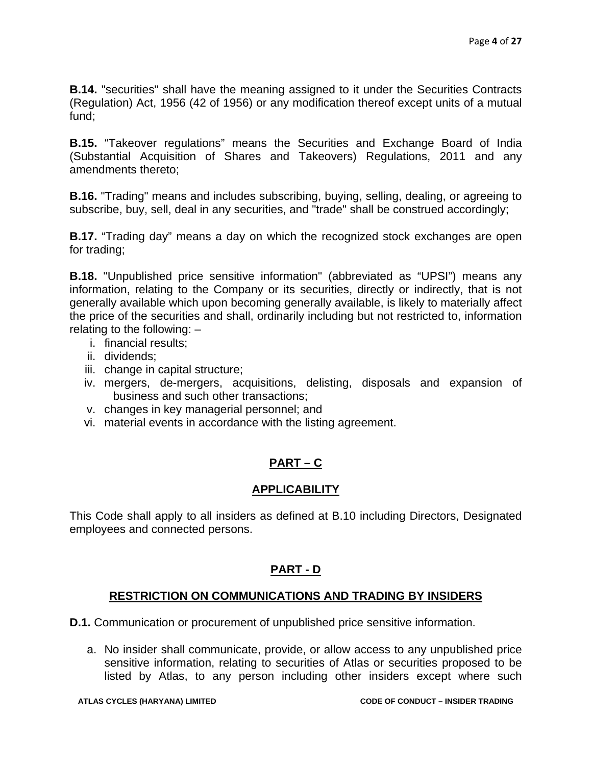**B.14.** "securities" shall have the meaning assigned to it under the Securities Contracts (Regulation) Act, 1956 (42 of 1956) or any modification thereof except units of a mutual fund;

**B.15.** "Takeover regulations" means the Securities and Exchange Board of India (Substantial Acquisition of Shares and Takeovers) Regulations, 2011 and any amendments thereto;

**B.16.** "Trading" means and includes subscribing, buying, selling, dealing, or agreeing to subscribe, buy, sell, deal in any securities, and "trade" shall be construed accordingly;

**B.17.** "Trading day" means a day on which the recognized stock exchanges are open for trading;

**B.18.** "Unpublished price sensitive information" (abbreviated as "UPSI") means any information, relating to the Company or its securities, directly or indirectly, that is not generally available which upon becoming generally available, is likely to materially affect the price of the securities and shall, ordinarily including but not restricted to, information relating to the following: –

- i. financial results;
- ii. dividends;
- iii. change in capital structure;
- iv. mergers, de-mergers, acquisitions, delisting, disposals and expansion of business and such other transactions;
- v. changes in key managerial personnel; and
- vi. material events in accordance with the listing agreement.

#### **PART – C**

#### **APPLICABILITY**

This Code shall apply to all insiders as defined at B.10 including Directors, Designated employees and connected persons.

#### **PART - D**

#### **RESTRICTION ON COMMUNICATIONS AND TRADING BY INSIDERS**

**D.1.** Communication or procurement of unpublished price sensitive information.

a. No insider shall communicate, provide, or allow access to any unpublished price sensitive information, relating to securities of Atlas or securities proposed to be listed by Atlas, to any person including other insiders except where such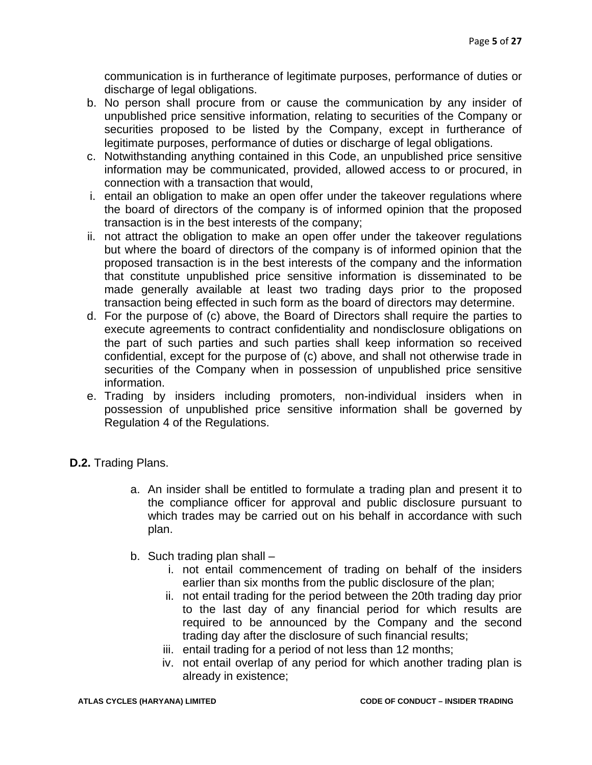communication is in furtherance of legitimate purposes, performance of duties or discharge of legal obligations.

- b. No person shall procure from or cause the communication by any insider of unpublished price sensitive information, relating to securities of the Company or securities proposed to be listed by the Company, except in furtherance of legitimate purposes, performance of duties or discharge of legal obligations.
- c. Notwithstanding anything contained in this Code, an unpublished price sensitive information may be communicated, provided, allowed access to or procured, in connection with a transaction that would,
- i. entail an obligation to make an open offer under the takeover regulations where the board of directors of the company is of informed opinion that the proposed transaction is in the best interests of the company;
- ii. not attract the obligation to make an open offer under the takeover regulations but where the board of directors of the company is of informed opinion that the proposed transaction is in the best interests of the company and the information that constitute unpublished price sensitive information is disseminated to be made generally available at least two trading days prior to the proposed transaction being effected in such form as the board of directors may determine.
- d. For the purpose of (c) above, the Board of Directors shall require the parties to execute agreements to contract confidentiality and nondisclosure obligations on the part of such parties and such parties shall keep information so received confidential, except for the purpose of (c) above, and shall not otherwise trade in securities of the Company when in possession of unpublished price sensitive information.
- e. Trading by insiders including promoters, non-individual insiders when in possession of unpublished price sensitive information shall be governed by Regulation 4 of the Regulations.
- **D.2.** Trading Plans.
	- a. An insider shall be entitled to formulate a trading plan and present it to the compliance officer for approval and public disclosure pursuant to which trades may be carried out on his behalf in accordance with such plan.
	- b. Such trading plan shall
		- i. not entail commencement of trading on behalf of the insiders earlier than six months from the public disclosure of the plan;
		- ii. not entail trading for the period between the 20th trading day prior to the last day of any financial period for which results are required to be announced by the Company and the second trading day after the disclosure of such financial results;
		- iii. entail trading for a period of not less than 12 months;
		- iv. not entail overlap of any period for which another trading plan is already in existence;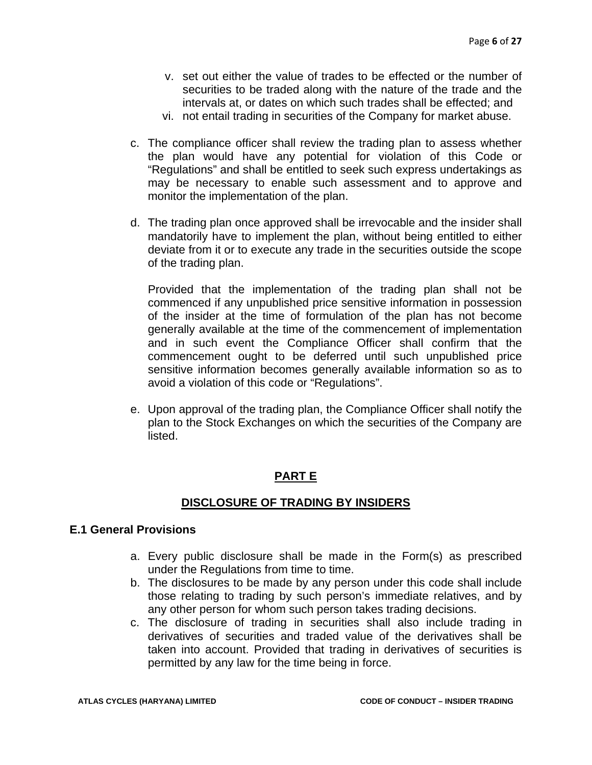- v. set out either the value of trades to be effected or the number of securities to be traded along with the nature of the trade and the intervals at, or dates on which such trades shall be effected; and
- vi. not entail trading in securities of the Company for market abuse.
- c. The compliance officer shall review the trading plan to assess whether the plan would have any potential for violation of this Code or "Regulations" and shall be entitled to seek such express undertakings as may be necessary to enable such assessment and to approve and monitor the implementation of the plan.
- d. The trading plan once approved shall be irrevocable and the insider shall mandatorily have to implement the plan, without being entitled to either deviate from it or to execute any trade in the securities outside the scope of the trading plan.

Provided that the implementation of the trading plan shall not be commenced if any unpublished price sensitive information in possession of the insider at the time of formulation of the plan has not become generally available at the time of the commencement of implementation and in such event the Compliance Officer shall confirm that the commencement ought to be deferred until such unpublished price sensitive information becomes generally available information so as to avoid a violation of this code or "Regulations".

e. Upon approval of the trading plan, the Compliance Officer shall notify the plan to the Stock Exchanges on which the securities of the Company are listed.

#### **PART E**

#### **DISCLOSURE OF TRADING BY INSIDERS**

#### **E.1 General Provisions**

- a. Every public disclosure shall be made in the Form(s) as prescribed under the Regulations from time to time.
- b. The disclosures to be made by any person under this code shall include those relating to trading by such person's immediate relatives, and by any other person for whom such person takes trading decisions.
- c. The disclosure of trading in securities shall also include trading in derivatives of securities and traded value of the derivatives shall be taken into account. Provided that trading in derivatives of securities is permitted by any law for the time being in force.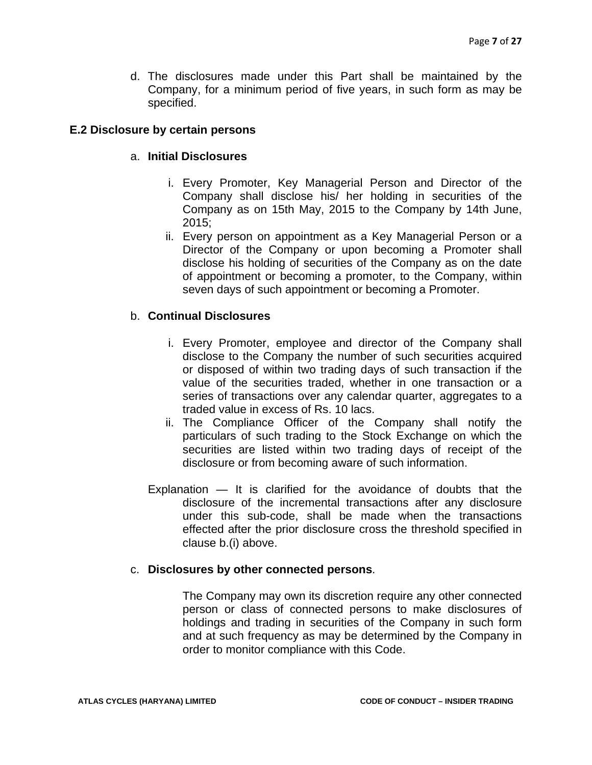d. The disclosures made under this Part shall be maintained by the Company, for a minimum period of five years, in such form as may be specified.

#### **E.2 Disclosure by certain persons**

#### a. **Initial Disclosures**

- i. Every Promoter, Key Managerial Person and Director of the Company shall disclose his/ her holding in securities of the Company as on 15th May, 2015 to the Company by 14th June, 2015;
- ii. Every person on appointment as a Key Managerial Person or a Director of the Company or upon becoming a Promoter shall disclose his holding of securities of the Company as on the date of appointment or becoming a promoter, to the Company, within seven days of such appointment or becoming a Promoter.

#### b. **Continual Disclosures**

- i. Every Promoter, employee and director of the Company shall disclose to the Company the number of such securities acquired or disposed of within two trading days of such transaction if the value of the securities traded, whether in one transaction or a series of transactions over any calendar quarter, aggregates to a traded value in excess of Rs. 10 lacs.
- ii. The Compliance Officer of the Company shall notify the particulars of such trading to the Stock Exchange on which the securities are listed within two trading days of receipt of the disclosure or from becoming aware of such information.
- Explanation It is clarified for the avoidance of doubts that the disclosure of the incremental transactions after any disclosure under this sub-code, shall be made when the transactions effected after the prior disclosure cross the threshold specified in clause b.(i) above.

#### c. **Disclosures by other connected persons**.

The Company may own its discretion require any other connected person or class of connected persons to make disclosures of holdings and trading in securities of the Company in such form and at such frequency as may be determined by the Company in order to monitor compliance with this Code.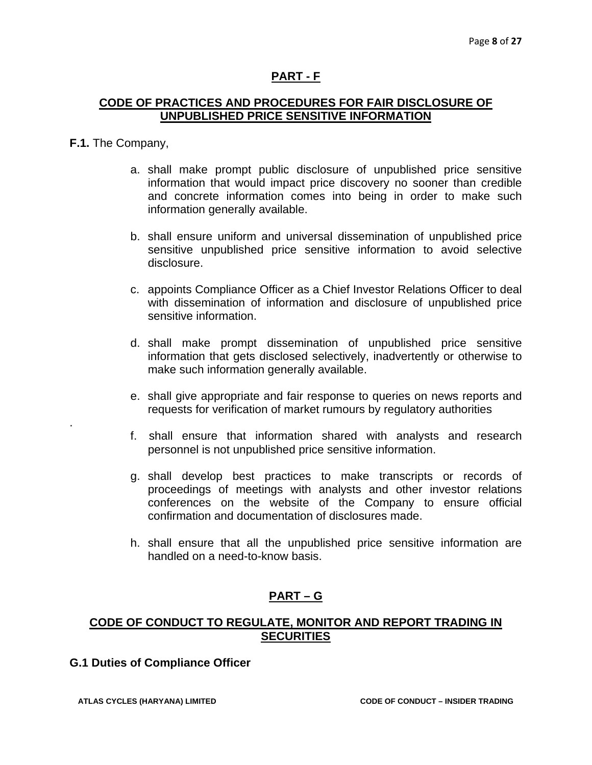#### **PART - F**

#### **CODE OF PRACTICES AND PROCEDURES FOR FAIR DISCLOSURE OF UNPUBLISHED PRICE SENSITIVE INFORMATION**

#### **F.1.** The Company,

.

- a. shall make prompt public disclosure of unpublished price sensitive information that would impact price discovery no sooner than credible and concrete information comes into being in order to make such information generally available.
- b. shall ensure uniform and universal dissemination of unpublished price sensitive unpublished price sensitive information to avoid selective disclosure.
- c. appoints Compliance Officer as a Chief Investor Relations Officer to deal with dissemination of information and disclosure of unpublished price sensitive information.
- d. shall make prompt dissemination of unpublished price sensitive information that gets disclosed selectively, inadvertently or otherwise to make such information generally available.
- e. shall give appropriate and fair response to queries on news reports and requests for verification of market rumours by regulatory authorities
- f. shall ensure that information shared with analysts and research personnel is not unpublished price sensitive information.
- g. shall develop best practices to make transcripts or records of proceedings of meetings with analysts and other investor relations conferences on the website of the Company to ensure official confirmation and documentation of disclosures made.
- h. shall ensure that all the unpublished price sensitive information are handled on a need-to-know basis.

#### **PART – G**

#### **CODE OF CONDUCT TO REGULATE, MONITOR AND REPORT TRADING IN SECURITIES**

#### **G.1 Duties of Compliance Officer**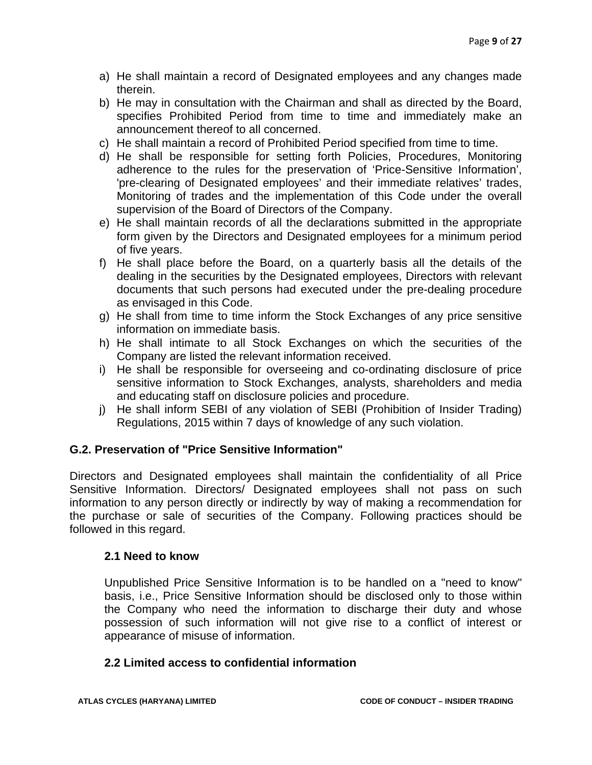- a) He shall maintain a record of Designated employees and any changes made therein.
- b) He may in consultation with the Chairman and shall as directed by the Board, specifies Prohibited Period from time to time and immediately make an announcement thereof to all concerned.
- c) He shall maintain a record of Prohibited Period specified from time to time.
- d) He shall be responsible for setting forth Policies, Procedures, Monitoring adherence to the rules for the preservation of 'Price-Sensitive Information', 'pre-clearing of Designated employees' and their immediate relatives' trades, Monitoring of trades and the implementation of this Code under the overall supervision of the Board of Directors of the Company.
- e) He shall maintain records of all the declarations submitted in the appropriate form given by the Directors and Designated employees for a minimum period of five years.
- f) He shall place before the Board, on a quarterly basis all the details of the dealing in the securities by the Designated employees, Directors with relevant documents that such persons had executed under the pre-dealing procedure as envisaged in this Code.
- g) He shall from time to time inform the Stock Exchanges of any price sensitive information on immediate basis.
- h) He shall intimate to all Stock Exchanges on which the securities of the Company are listed the relevant information received.
- i) He shall be responsible for overseeing and co-ordinating disclosure of price sensitive information to Stock Exchanges, analysts, shareholders and media and educating staff on disclosure policies and procedure.
- j) He shall inform SEBI of any violation of SEBI (Prohibition of Insider Trading) Regulations, 2015 within 7 days of knowledge of any such violation.

#### **G.2. Preservation of "Price Sensitive Information"**

Directors and Designated employees shall maintain the confidentiality of all Price Sensitive Information. Directors/ Designated employees shall not pass on such information to any person directly or indirectly by way of making a recommendation for the purchase or sale of securities of the Company. Following practices should be followed in this regard.

#### **2.1 Need to know**

Unpublished Price Sensitive Information is to be handled on a "need to know" basis, i.e., Price Sensitive Information should be disclosed only to those within the Company who need the information to discharge their duty and whose possession of such information will not give rise to a conflict of interest or appearance of misuse of information.

#### **2.2 Limited access to confidential information**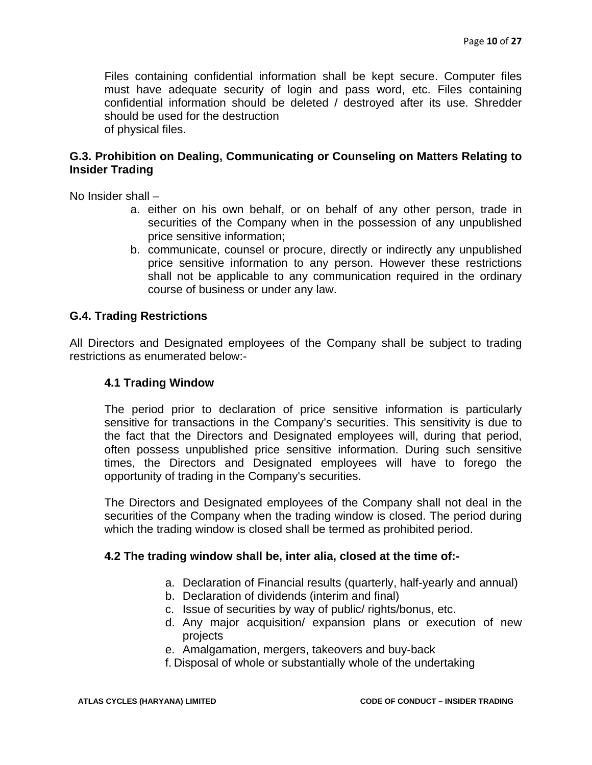Files containing confidential information shall be kept secure. Computer files must have adequate security of login and pass word, etc. Files containing confidential information should be deleted / destroyed after its use. Shredder should be used for the destruction of physical files.

#### **G.3. Prohibition on Dealing, Communicating or Counseling on Matters Relating to Insider Trading**

No Insider shall –

- a. either on his own behalf, or on behalf of any other person, trade in securities of the Company when in the possession of any unpublished price sensitive information;
- b. communicate, counsel or procure, directly or indirectly any unpublished price sensitive information to any person. However these restrictions shall not be applicable to any communication required in the ordinary course of business or under any law.

#### **G.4. Trading Restrictions**

All Directors and Designated employees of the Company shall be subject to trading restrictions as enumerated below:-

#### **4.1 Trading Window**

The period prior to declaration of price sensitive information is particularly sensitive for transactions in the Company's securities. This sensitivity is due to the fact that the Directors and Designated employees will, during that period, often possess unpublished price sensitive information. During such sensitive times, the Directors and Designated employees will have to forego the opportunity of trading in the Company's securities.

The Directors and Designated employees of the Company shall not deal in the securities of the Company when the trading window is closed. The period during which the trading window is closed shall be termed as prohibited period.

#### **4.2 The trading window shall be, inter alia, closed at the time of:-**

- a. Declaration of Financial results (quarterly, half-yearly and annual)
- b. Declaration of dividends (interim and final)
- c. Issue of securities by way of public/ rights/bonus, etc.
- d. Any major acquisition/ expansion plans or execution of new projects
- e. Amalgamation, mergers, takeovers and buy-back

f. Disposal of whole or substantially whole of the undertaking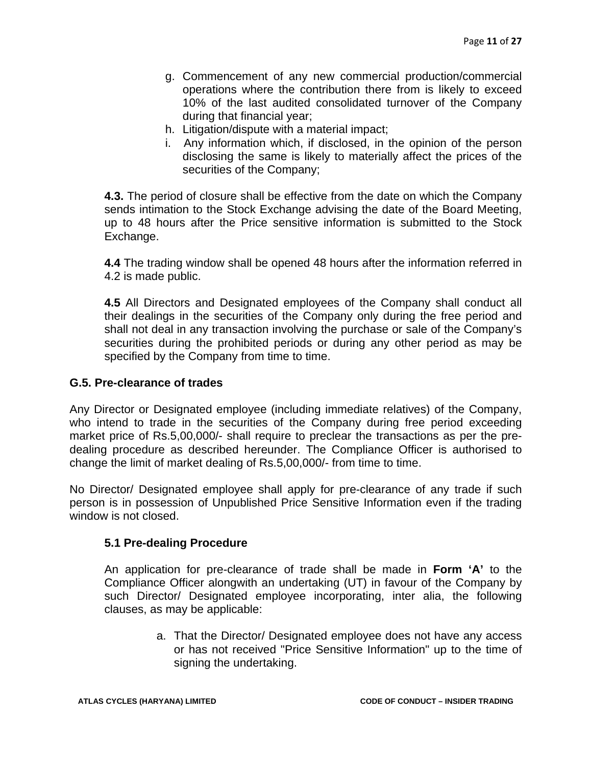- g. Commencement of any new commercial production/commercial operations where the contribution there from is likely to exceed 10% of the last audited consolidated turnover of the Company during that financial year;
- h. Litigation/dispute with a material impact;
- i. Any information which, if disclosed, in the opinion of the person disclosing the same is likely to materially affect the prices of the securities of the Company;

**4.3.** The period of closure shall be effective from the date on which the Company sends intimation to the Stock Exchange advising the date of the Board Meeting, up to 48 hours after the Price sensitive information is submitted to the Stock Exchange.

**4.4** The trading window shall be opened 48 hours after the information referred in 4.2 is made public.

**4.5** All Directors and Designated employees of the Company shall conduct all their dealings in the securities of the Company only during the free period and shall not deal in any transaction involving the purchase or sale of the Company's securities during the prohibited periods or during any other period as may be specified by the Company from time to time.

#### **G.5. Pre-clearance of trades**

Any Director or Designated employee (including immediate relatives) of the Company, who intend to trade in the securities of the Company during free period exceeding market price of Rs.5,00,000/- shall require to preclear the transactions as per the predealing procedure as described hereunder. The Compliance Officer is authorised to change the limit of market dealing of Rs.5,00,000/- from time to time.

No Director/ Designated employee shall apply for pre-clearance of any trade if such person is in possession of Unpublished Price Sensitive Information even if the trading window is not closed.

#### **5.1 Pre-dealing Procedure**

An application for pre-clearance of trade shall be made in **Form 'A'** to the Compliance Officer alongwith an undertaking (UT) in favour of the Company by such Director/ Designated employee incorporating, inter alia, the following clauses, as may be applicable:

> a. That the Director/ Designated employee does not have any access or has not received "Price Sensitive Information" up to the time of signing the undertaking.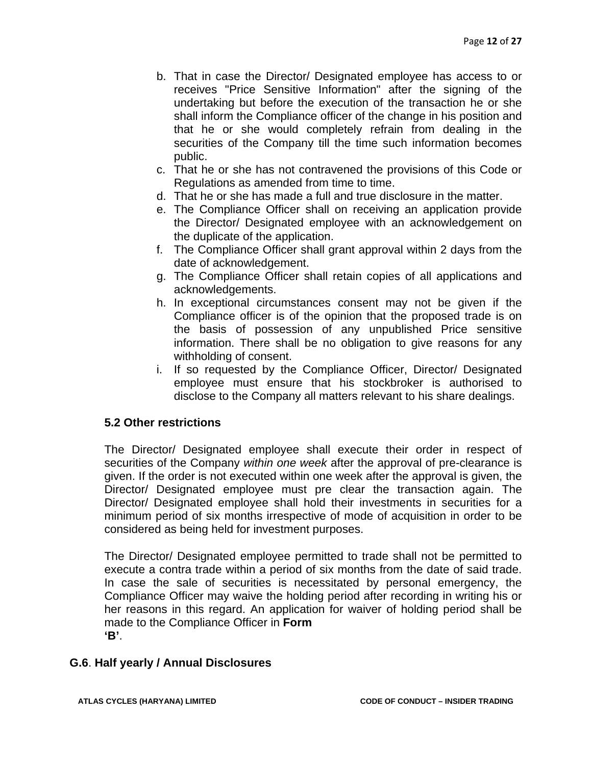- b. That in case the Director/ Designated employee has access to or receives "Price Sensitive Information" after the signing of the undertaking but before the execution of the transaction he or she shall inform the Compliance officer of the change in his position and that he or she would completely refrain from dealing in the securities of the Company till the time such information becomes public.
- c. That he or she has not contravened the provisions of this Code or Regulations as amended from time to time.
- d. That he or she has made a full and true disclosure in the matter.
- e. The Compliance Officer shall on receiving an application provide the Director/ Designated employee with an acknowledgement on the duplicate of the application.
- f. The Compliance Officer shall grant approval within 2 days from the date of acknowledgement.
- g. The Compliance Officer shall retain copies of all applications and acknowledgements.
- h. In exceptional circumstances consent may not be given if the Compliance officer is of the opinion that the proposed trade is on the basis of possession of any unpublished Price sensitive information. There shall be no obligation to give reasons for any withholding of consent.
- i. If so requested by the Compliance Officer, Director/ Designated employee must ensure that his stockbroker is authorised to disclose to the Company all matters relevant to his share dealings.

#### **5.2 Other restrictions**

The Director/ Designated employee shall execute their order in respect of securities of the Company *within one week* after the approval of pre-clearance is given. If the order is not executed within one week after the approval is given, the Director/ Designated employee must pre clear the transaction again. The Director/ Designated employee shall hold their investments in securities for a minimum period of six months irrespective of mode of acquisition in order to be considered as being held for investment purposes.

The Director/ Designated employee permitted to trade shall not be permitted to execute a contra trade within a period of six months from the date of said trade. In case the sale of securities is necessitated by personal emergency, the Compliance Officer may waive the holding period after recording in writing his or her reasons in this regard. An application for waiver of holding period shall be made to the Compliance Officer in **Form 'B'**.

#### **G.6**. **Half yearly / Annual Disclosures**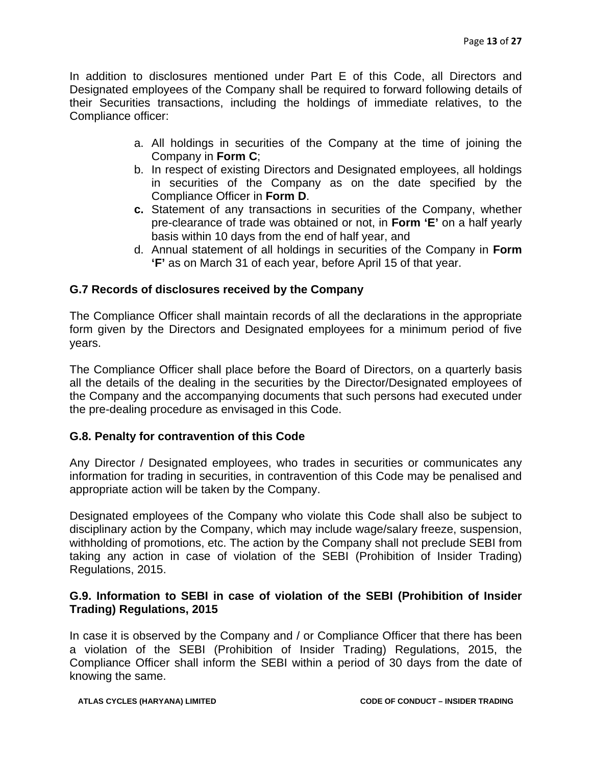In addition to disclosures mentioned under Part E of this Code, all Directors and Designated employees of the Company shall be required to forward following details of their Securities transactions, including the holdings of immediate relatives, to the Compliance officer:

- a. All holdings in securities of the Company at the time of joining the Company in **Form C**;
- b. In respect of existing Directors and Designated employees, all holdings in securities of the Company as on the date specified by the Compliance Officer in **Form D**.
- **c.** Statement of any transactions in securities of the Company, whether pre-clearance of trade was obtained or not, in **Form 'E'** on a half yearly basis within 10 days from the end of half year, and
- d. Annual statement of all holdings in securities of the Company in **Form 'F'** as on March 31 of each year, before April 15 of that year.

#### **G.7 Records of disclosures received by the Company**

The Compliance Officer shall maintain records of all the declarations in the appropriate form given by the Directors and Designated employees for a minimum period of five years.

The Compliance Officer shall place before the Board of Directors, on a quarterly basis all the details of the dealing in the securities by the Director/Designated employees of the Company and the accompanying documents that such persons had executed under the pre-dealing procedure as envisaged in this Code.

#### **G.8. Penalty for contravention of this Code**

Any Director / Designated employees, who trades in securities or communicates any information for trading in securities, in contravention of this Code may be penalised and appropriate action will be taken by the Company.

Designated employees of the Company who violate this Code shall also be subject to disciplinary action by the Company, which may include wage/salary freeze, suspension, withholding of promotions, etc. The action by the Company shall not preclude SEBI from taking any action in case of violation of the SEBI (Prohibition of Insider Trading) Regulations, 2015.

#### **G.9. Information to SEBI in case of violation of the SEBI (Prohibition of Insider Trading) Regulations, 2015**

In case it is observed by the Company and / or Compliance Officer that there has been a violation of the SEBI (Prohibition of Insider Trading) Regulations, 2015, the Compliance Officer shall inform the SEBI within a period of 30 days from the date of knowing the same.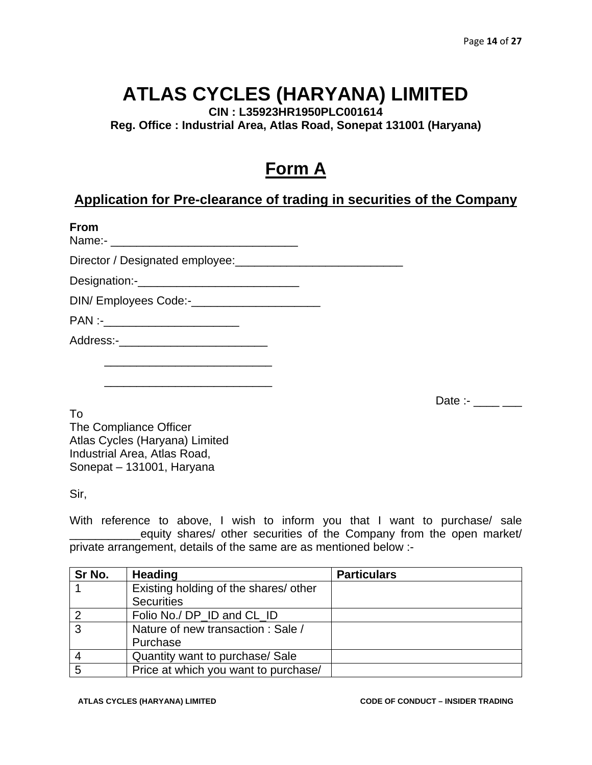**CIN : L35923HR1950PLC001614** 

**Reg. Office : Industrial Area, Atlas Road, Sonepat 131001 (Haryana)** 

### **Form A**

### **Application for Pre-clearance of trading in securities of the Company**

| <b>From</b>                                   |  |
|-----------------------------------------------|--|
|                                               |  |
|                                               |  |
| DIN/Employees Code:-_________________________ |  |
| PAN :-__________________________              |  |
|                                               |  |
|                                               |  |
|                                               |  |

Date :- $\frac{1}{2}$ 

To The Compliance Officer Atlas Cycles (Haryana) Limited Industrial Area, Atlas Road, Sonepat – 131001, Haryana

Sir,

With reference to above, I wish to inform you that I want to purchase/ sale equity shares/ other securities of the Company from the open market/ private arrangement, details of the same are as mentioned below :-

| Sr No. | <b>Heading</b>                        | <b>Particulars</b> |
|--------|---------------------------------------|--------------------|
|        | Existing holding of the shares/ other |                    |
|        | <b>Securities</b>                     |                    |
|        | Folio No./ DP ID and CL ID            |                    |
| ◠      | Nature of new transaction : Sale /    |                    |
|        | Purchase                              |                    |
|        | Quantity want to purchase/ Sale       |                    |
| 5      | Price at which you want to purchase/  |                    |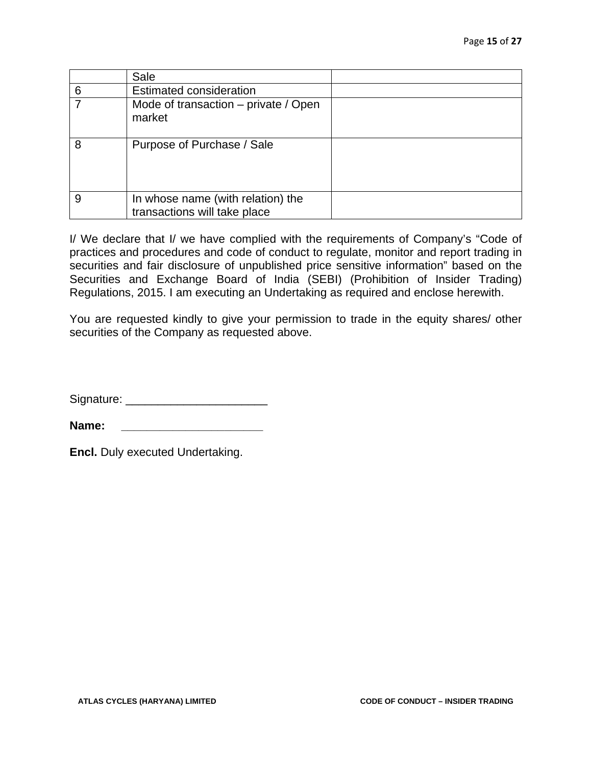|   | Sale                                                              |  |
|---|-------------------------------------------------------------------|--|
| 6 | <b>Estimated consideration</b>                                    |  |
|   | Mode of transaction – private / Open<br>market                    |  |
| 8 | Purpose of Purchase / Sale                                        |  |
| 9 | In whose name (with relation) the<br>transactions will take place |  |

I/ We declare that I/ we have complied with the requirements of Company's "Code of practices and procedures and code of conduct to regulate, monitor and report trading in securities and fair disclosure of unpublished price sensitive information" based on the Securities and Exchange Board of India (SEBI) (Prohibition of Insider Trading) Regulations, 2015. I am executing an Undertaking as required and enclose herewith.

You are requested kindly to give your permission to trade in the equity shares/ other securities of the Company as requested above.

Signature: \_\_\_\_\_\_\_\_\_\_\_\_\_\_\_\_\_\_\_\_\_\_

**Name:**  $\blacksquare$ 

**Encl.** Duly executed Undertaking.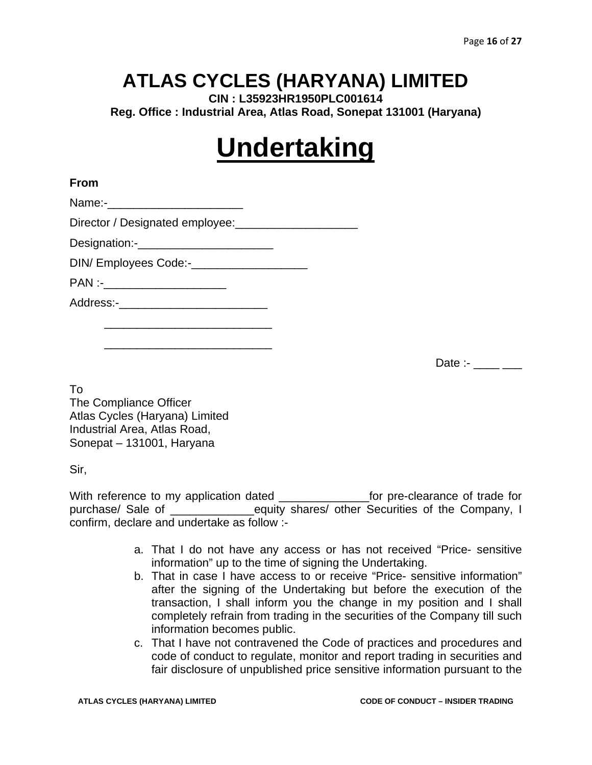**CIN : L35923HR1950PLC001614 Reg. Office : Industrial Area, Atlas Road, Sonepat 131001 (Haryana)** 

# **Undertaking**

#### **From**

Name:-

Director / Designated employee: \_\_\_\_\_\_\_\_\_\_\_\_\_\_\_\_\_\_\_\_\_\_\_

Designation:-\_\_\_\_\_\_\_\_\_\_\_\_\_\_\_\_\_\_\_\_\_

DIN/ Employees Code:-

PAN :- \_\_\_\_\_\_\_\_\_\_\_\_\_\_\_\_\_\_\_\_\_\_\_

Address:-\_\_\_\_\_\_\_\_\_\_\_\_\_\_\_\_\_\_\_\_\_\_\_

 $\frac{1}{\sqrt{2}}$  ,  $\frac{1}{\sqrt{2}}$  ,  $\frac{1}{\sqrt{2}}$  ,  $\frac{1}{\sqrt{2}}$  ,  $\frac{1}{\sqrt{2}}$  ,  $\frac{1}{\sqrt{2}}$  ,  $\frac{1}{\sqrt{2}}$  ,  $\frac{1}{\sqrt{2}}$  ,  $\frac{1}{\sqrt{2}}$  ,  $\frac{1}{\sqrt{2}}$  ,  $\frac{1}{\sqrt{2}}$  ,  $\frac{1}{\sqrt{2}}$  ,  $\frac{1}{\sqrt{2}}$  ,  $\frac{1}{\sqrt{2}}$  ,  $\frac{1}{\sqrt{2}}$ 

 $\frac{1}{\sqrt{2}}$  ,  $\frac{1}{\sqrt{2}}$  ,  $\frac{1}{\sqrt{2}}$  ,  $\frac{1}{\sqrt{2}}$  ,  $\frac{1}{\sqrt{2}}$  ,  $\frac{1}{\sqrt{2}}$  ,  $\frac{1}{\sqrt{2}}$  ,  $\frac{1}{\sqrt{2}}$  ,  $\frac{1}{\sqrt{2}}$  ,  $\frac{1}{\sqrt{2}}$  ,  $\frac{1}{\sqrt{2}}$  ,  $\frac{1}{\sqrt{2}}$  ,  $\frac{1}{\sqrt{2}}$  ,  $\frac{1}{\sqrt{2}}$  ,  $\frac{1}{\sqrt{2}}$ 

Date :- $\frac{1}{2}$ 

To The Compliance Officer Atlas Cycles (Haryana) Limited Industrial Area, Atlas Road, Sonepat – 131001, Haryana

Sir,

With reference to my application dated example for pre-clearance of trade for purchase/ Sale of \_\_\_\_\_\_\_\_\_\_\_\_\_equity shares/ other Securities of the Company, I confirm, declare and undertake as follow :-

- a. That I do not have any access or has not received "Price- sensitive information" up to the time of signing the Undertaking.
- b. That in case I have access to or receive "Price- sensitive information" after the signing of the Undertaking but before the execution of the transaction, I shall inform you the change in my position and I shall completely refrain from trading in the securities of the Company till such information becomes public.
- c. That I have not contravened the Code of practices and procedures and code of conduct to regulate, monitor and report trading in securities and fair disclosure of unpublished price sensitive information pursuant to the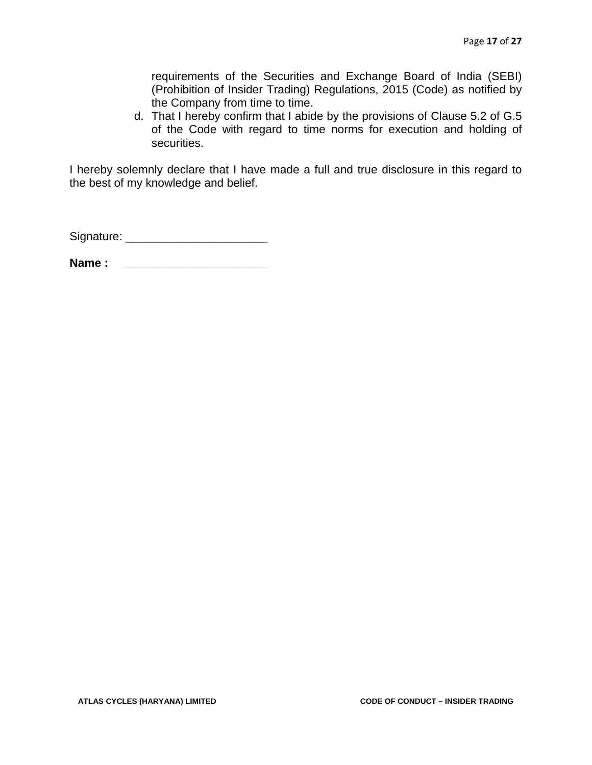requirements of the Securities and Exchange Board of India (SEBI) (Prohibition of Insider Trading) Regulations, 2015 (Code) as notified by the Company from time to time.

d. That I hereby confirm that I abide by the provisions of Clause 5.2 of G.5 of the Code with regard to time norms for execution and holding of securities.

I hereby solemnly declare that I have made a full and true disclosure in this regard to the best of my knowledge and belief.

Signature: \_\_\_\_\_\_\_\_\_\_\_\_\_\_\_\_\_\_\_\_\_\_

Name : <u>\_\_\_\_\_\_\_\_\_\_\_\_\_\_\_\_\_</u>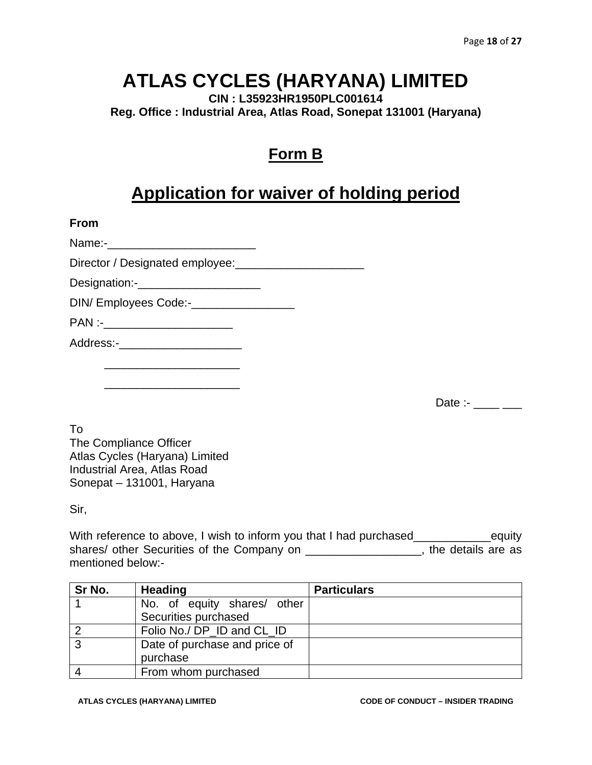**CIN : L35923HR1950PLC001614 Reg. Office : Industrial Area, Atlas Road, Sonepat 131001 (Haryana)** 

### **Form B**

### **Application for waiver of holding period**

**From** 

Name:-\_\_\_\_\_\_\_\_\_\_\_\_\_\_\_\_\_\_\_\_\_\_\_

Director / Designated employee:\_\_\_\_\_\_\_\_\_\_\_\_\_\_\_\_\_\_\_\_

Designation:-

DIN/ Employees Code:-\_\_\_\_\_\_\_\_\_\_\_\_\_\_\_\_\_\_\_\_\_\_\_\_

 $PAN$  :-

Address:-

 $\frac{1}{\sqrt{2}}$  ,  $\frac{1}{\sqrt{2}}$  ,  $\frac{1}{\sqrt{2}}$  ,  $\frac{1}{\sqrt{2}}$  ,  $\frac{1}{\sqrt{2}}$  ,  $\frac{1}{\sqrt{2}}$  ,  $\frac{1}{\sqrt{2}}$  ,  $\frac{1}{\sqrt{2}}$  ,  $\frac{1}{\sqrt{2}}$  ,  $\frac{1}{\sqrt{2}}$  ,  $\frac{1}{\sqrt{2}}$  ,  $\frac{1}{\sqrt{2}}$  ,  $\frac{1}{\sqrt{2}}$  ,  $\frac{1}{\sqrt{2}}$  ,  $\frac{1}{\sqrt{2}}$ 

 $\frac{1}{\sqrt{2}}$  ,  $\frac{1}{\sqrt{2}}$  ,  $\frac{1}{\sqrt{2}}$  ,  $\frac{1}{\sqrt{2}}$  ,  $\frac{1}{\sqrt{2}}$  ,  $\frac{1}{\sqrt{2}}$  ,  $\frac{1}{\sqrt{2}}$  ,  $\frac{1}{\sqrt{2}}$  ,  $\frac{1}{\sqrt{2}}$  ,  $\frac{1}{\sqrt{2}}$  ,  $\frac{1}{\sqrt{2}}$  ,  $\frac{1}{\sqrt{2}}$  ,  $\frac{1}{\sqrt{2}}$  ,  $\frac{1}{\sqrt{2}}$  ,  $\frac{1}{\sqrt{2}}$ 

Date :-  $\frac{1}{2}$ 

To The Compliance Officer Atlas Cycles (Haryana) Limited Industrial Area, Atlas Road Sonepat – 131001, Haryana

Sir,

With reference to above, I wish to inform you that I had purchased\_\_\_\_\_\_\_\_\_\_\_\_\_\_equity shares/ other Securities of the Company on \_\_\_\_\_\_\_\_\_\_\_\_\_\_\_\_\_\_, the details are as mentioned below:-

| Sr No. | <b>Heading</b>                | <b>Particulars</b> |
|--------|-------------------------------|--------------------|
|        | No. of equity shares/ other   |                    |
|        | Securities purchased          |                    |
|        | Folio No./ DP ID and CL ID    |                    |
| ົ      | Date of purchase and price of |                    |
|        | purchase                      |                    |
|        | From whom purchased           |                    |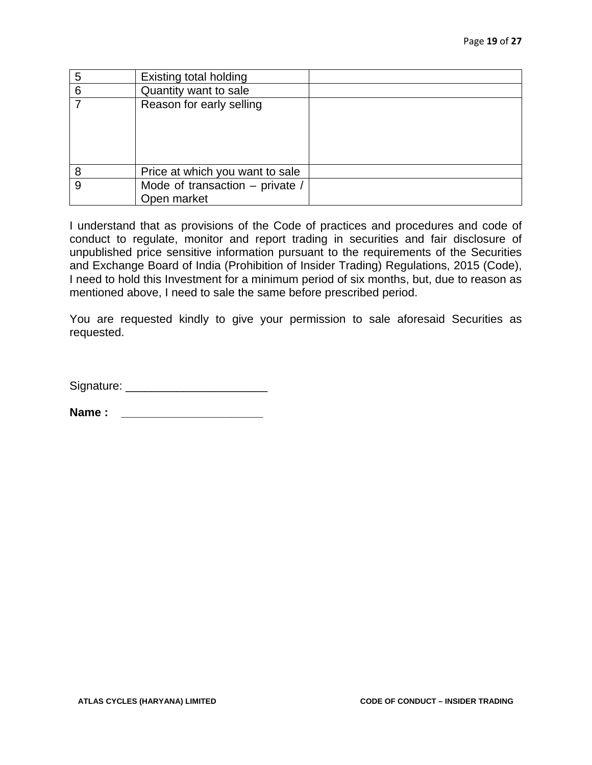| 5 | <b>Existing total holding</b>   |  |
|---|---------------------------------|--|
| 6 | Quantity want to sale           |  |
|   | Reason for early selling        |  |
|   |                                 |  |
|   |                                 |  |
|   |                                 |  |
|   |                                 |  |
| 8 | Price at which you want to sale |  |
| 9 | Mode of transaction - private / |  |
|   | Open market                     |  |

I understand that as provisions of the Code of practices and procedures and code of conduct to regulate, monitor and report trading in securities and fair disclosure of unpublished price sensitive information pursuant to the requirements of the Securities and Exchange Board of India (Prohibition of Insider Trading) Regulations, 2015 (Code), I need to hold this Investment for a minimum period of six months, but, due to reason as mentioned above, I need to sale the same before prescribed period.

You are requested kindly to give your permission to sale aforesaid Securities as requested.

Signature: \_\_\_\_\_\_\_\_\_\_\_\_\_\_\_\_\_\_\_\_\_\_

**Name : \_\_\_\_\_\_\_\_\_\_\_\_\_\_\_\_\_\_\_\_\_\_**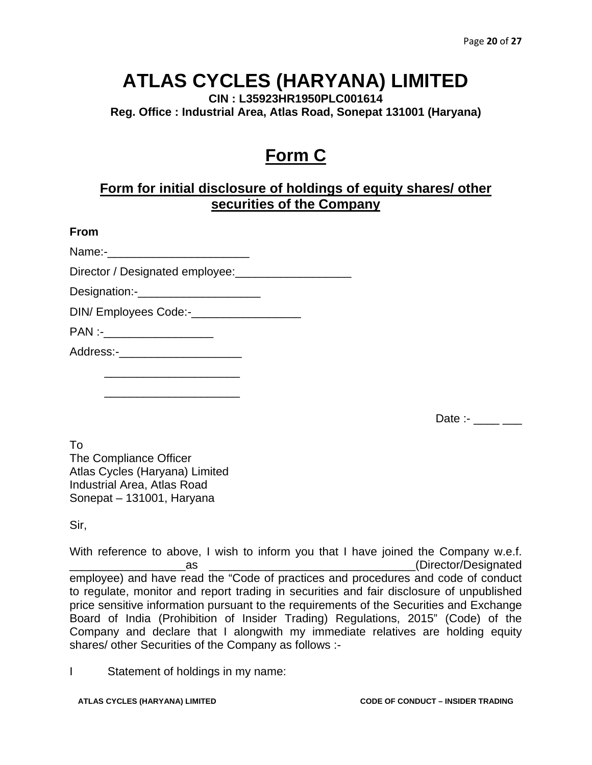**CIN : L35923HR1950PLC001614 Reg. Office : Industrial Area, Atlas Road, Sonepat 131001 (Haryana)** 

### **Form C**

#### **Form for initial disclosure of holdings of equity shares/ other securities of the Company**

| w<br>۰. |
|---------|
|---------|

Name:-

Director / Designated employee:\_\_\_\_\_\_\_\_\_\_\_\_\_\_\_\_\_\_

Designation:-

DIN/ Employees Code:-\_\_\_\_\_\_\_\_\_\_\_\_\_\_\_\_\_

 $PAN:$ 

Address:-

 $\frac{1}{\sqrt{2}}$  ,  $\frac{1}{\sqrt{2}}$  ,  $\frac{1}{\sqrt{2}}$  ,  $\frac{1}{\sqrt{2}}$  ,  $\frac{1}{\sqrt{2}}$  ,  $\frac{1}{\sqrt{2}}$  ,  $\frac{1}{\sqrt{2}}$  ,  $\frac{1}{\sqrt{2}}$  ,  $\frac{1}{\sqrt{2}}$  ,  $\frac{1}{\sqrt{2}}$  ,  $\frac{1}{\sqrt{2}}$  ,  $\frac{1}{\sqrt{2}}$  ,  $\frac{1}{\sqrt{2}}$  ,  $\frac{1}{\sqrt{2}}$  ,  $\frac{1}{\sqrt{2}}$ 

 $\frac{1}{\sqrt{2}}$  ,  $\frac{1}{\sqrt{2}}$  ,  $\frac{1}{\sqrt{2}}$  ,  $\frac{1}{\sqrt{2}}$  ,  $\frac{1}{\sqrt{2}}$  ,  $\frac{1}{\sqrt{2}}$  ,  $\frac{1}{\sqrt{2}}$  ,  $\frac{1}{\sqrt{2}}$  ,  $\frac{1}{\sqrt{2}}$  ,  $\frac{1}{\sqrt{2}}$  ,  $\frac{1}{\sqrt{2}}$  ,  $\frac{1}{\sqrt{2}}$  ,  $\frac{1}{\sqrt{2}}$  ,  $\frac{1}{\sqrt{2}}$  ,  $\frac{1}{\sqrt{2}}$ 

Date :- \_\_\_\_ \_\_\_

To The Compliance Officer Atlas Cycles (Haryana) Limited Industrial Area, Atlas Road Sonepat – 131001, Haryana

Sir,

With reference to above, I wish to inform you that I have joined the Company w.e.f. es as the contract of the contract of the contract of the contract of the contract of the contract of the contract of the contract of the contract of the contract of the contract of the contract of the contract of the cont employee) and have read the "Code of practices and procedures and code of conduct to regulate, monitor and report trading in securities and fair disclosure of unpublished price sensitive information pursuant to the requirements of the Securities and Exchange Board of India (Prohibition of Insider Trading) Regulations, 2015" (Code) of the Company and declare that I alongwith my immediate relatives are holding equity shares/ other Securities of the Company as follows :-

I Statement of holdings in my name: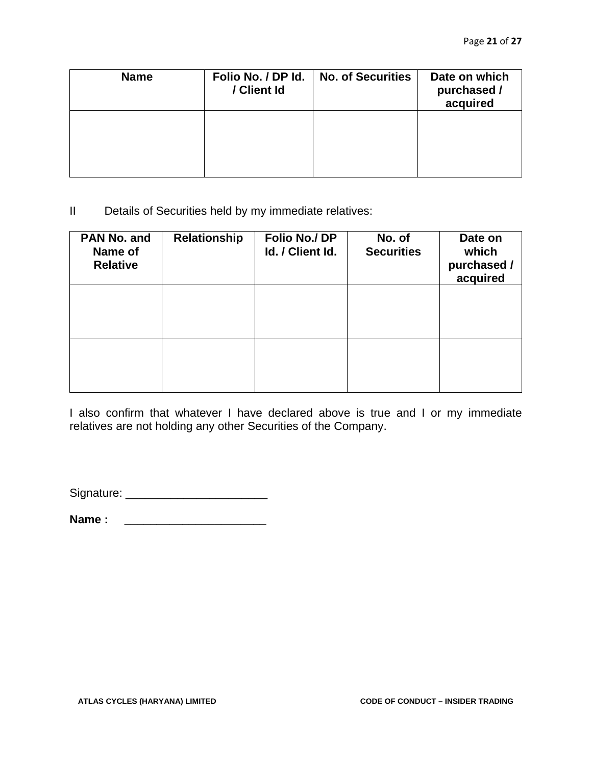| <b>Name</b> | Folio No. / DP Id.<br>/ Client Id | <b>No. of Securities</b> | Date on which<br>purchased /<br>acquired |
|-------------|-----------------------------------|--------------------------|------------------------------------------|
|             |                                   |                          |                                          |

II Details of Securities held by my immediate relatives:

| PAN No. and<br>Name of<br><b>Relative</b> | Relationship | Folio No./DP<br>Id. / Client Id. | No. of<br><b>Securities</b> | Date on<br>which<br>purchased /<br>acquired |
|-------------------------------------------|--------------|----------------------------------|-----------------------------|---------------------------------------------|
|                                           |              |                                  |                             |                                             |
|                                           |              |                                  |                             |                                             |

I also confirm that whatever I have declared above is true and I or my immediate relatives are not holding any other Securities of the Company.

Signature: \_\_\_\_\_\_\_\_\_\_\_\_\_\_\_\_\_\_\_\_\_\_

**Name : \_\_\_\_\_\_\_\_\_\_\_\_\_\_\_\_\_\_\_\_\_\_**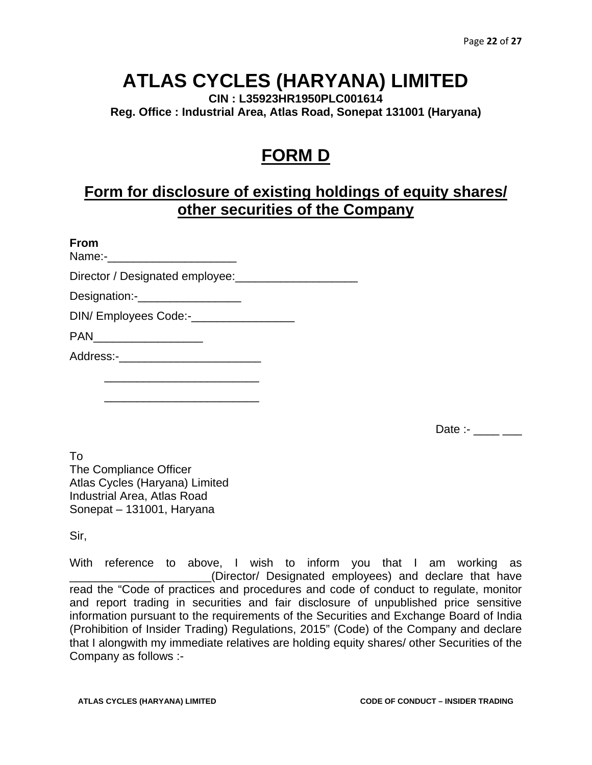**CIN : L35923HR1950PLC001614 Reg. Office : Industrial Area, Atlas Road, Sonepat 131001 (Haryana)** 

### **FORM D**

### **Form for disclosure of existing holdings of equity shares/ other securities of the Company**

#### **From**

Name:-

Director / Designated employee:

Designation:-\_\_\_\_\_\_\_\_\_\_\_\_\_\_\_\_

DIN/ Employees Code:-

PAN\_\_\_\_\_\_\_\_\_\_\_\_\_\_\_\_\_

Address:-

 $\frac{1}{\sqrt{2}}$  ,  $\frac{1}{\sqrt{2}}$  ,  $\frac{1}{\sqrt{2}}$  ,  $\frac{1}{\sqrt{2}}$  ,  $\frac{1}{\sqrt{2}}$  ,  $\frac{1}{\sqrt{2}}$  ,  $\frac{1}{\sqrt{2}}$  ,  $\frac{1}{\sqrt{2}}$  ,  $\frac{1}{\sqrt{2}}$  ,  $\frac{1}{\sqrt{2}}$  ,  $\frac{1}{\sqrt{2}}$  ,  $\frac{1}{\sqrt{2}}$  ,  $\frac{1}{\sqrt{2}}$  ,  $\frac{1}{\sqrt{2}}$  ,  $\frac{1}{\sqrt{2}}$ 

 $\frac{1}{\sqrt{2}}$  ,  $\frac{1}{\sqrt{2}}$  ,  $\frac{1}{\sqrt{2}}$  ,  $\frac{1}{\sqrt{2}}$  ,  $\frac{1}{\sqrt{2}}$  ,  $\frac{1}{\sqrt{2}}$  ,  $\frac{1}{\sqrt{2}}$  ,  $\frac{1}{\sqrt{2}}$  ,  $\frac{1}{\sqrt{2}}$  ,  $\frac{1}{\sqrt{2}}$  ,  $\frac{1}{\sqrt{2}}$  ,  $\frac{1}{\sqrt{2}}$  ,  $\frac{1}{\sqrt{2}}$  ,  $\frac{1}{\sqrt{2}}$  ,  $\frac{1}{\sqrt{2}}$ 

Date :-  $\frac{1}{2}$ 

To The Compliance Officer Atlas Cycles (Haryana) Limited Industrial Area, Atlas Road Sonepat – 131001, Haryana

Sir,

With reference to above, I wish to inform you that I am working as \_\_\_\_\_\_\_\_\_\_\_\_\_\_\_\_\_\_\_\_\_\_(Director/ Designated employees) and declare that have read the "Code of practices and procedures and code of conduct to regulate, monitor and report trading in securities and fair disclosure of unpublished price sensitive information pursuant to the requirements of the Securities and Exchange Board of India (Prohibition of Insider Trading) Regulations, 2015" (Code) of the Company and declare that I alongwith my immediate relatives are holding equity shares/ other Securities of the Company as follows :-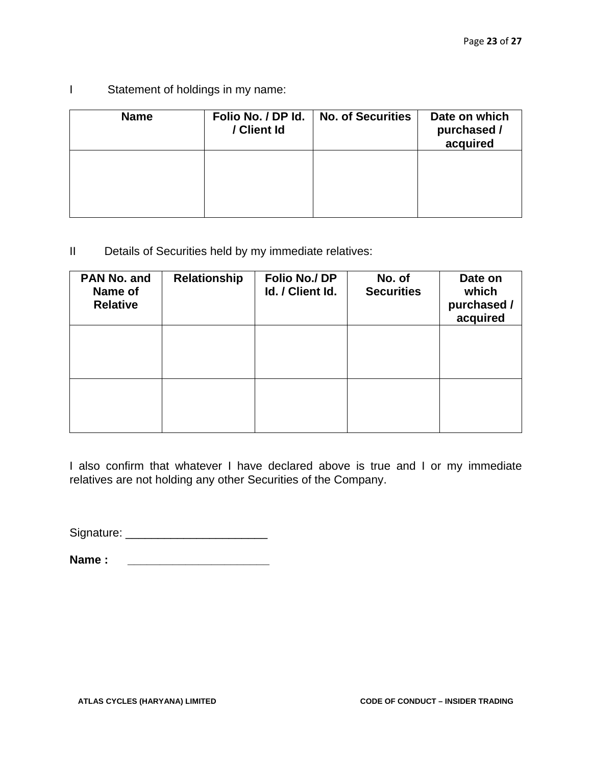I Statement of holdings in my name:

| <b>Name</b> | Folio No. / DP Id.<br>/ Client Id | <b>No. of Securities</b> | Date on which<br>purchased /<br>acquired |
|-------------|-----------------------------------|--------------------------|------------------------------------------|
|             |                                   |                          |                                          |

II Details of Securities held by my immediate relatives:

| PAN No. and<br>Name of<br><b>Relative</b> | Relationship | Folio No./DP<br>Id. / Client Id. | No. of<br><b>Securities</b> | Date on<br>which<br>purchased /<br>acquired |
|-------------------------------------------|--------------|----------------------------------|-----------------------------|---------------------------------------------|
|                                           |              |                                  |                             |                                             |
|                                           |              |                                  |                             |                                             |

I also confirm that whatever I have declared above is true and I or my immediate relatives are not holding any other Securities of the Company.

Signature: \_\_\_\_\_\_\_\_\_\_\_\_\_\_\_\_\_\_\_\_\_\_

**Name :**  $\blacksquare$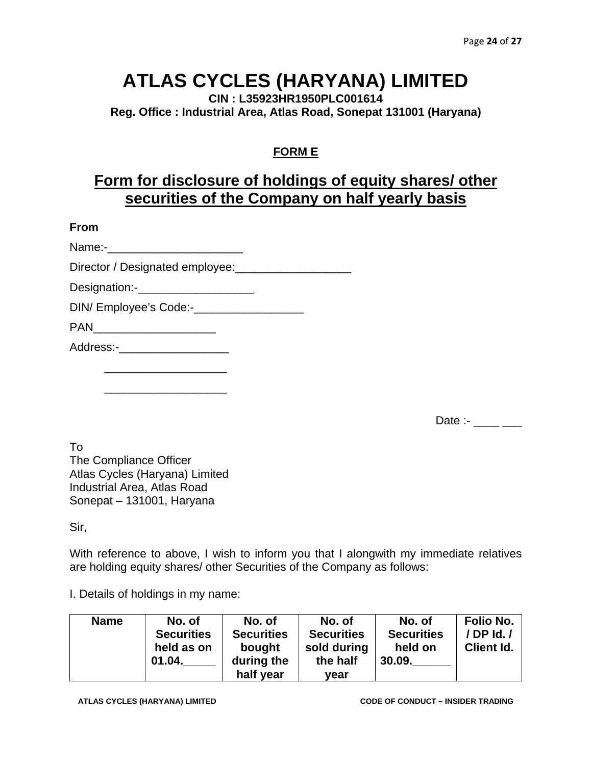**CIN : L35923HR1950PLC001614 Reg. Office : Industrial Area, Atlas Road, Sonepat 131001 (Haryana)** 

### **FORM E**

### **Form for disclosure of holdings of equity shares/ other securities of the Company on half yearly basis**

#### **From**

| Director / Designated employee: |  |
|---------------------------------|--|
|                                 |  |
|                                 |  |
|                                 |  |
| Address:-____________________   |  |
|                                 |  |

Date :- \_\_\_\_ \_\_\_

To The Compliance Officer Atlas Cycles (Haryana) Limited Industrial Area, Atlas Road Sonepat – 131001, Haryana

 $\frac{1}{\sqrt{2}}$  ,  $\frac{1}{\sqrt{2}}$  ,  $\frac{1}{\sqrt{2}}$  ,  $\frac{1}{\sqrt{2}}$  ,  $\frac{1}{\sqrt{2}}$  ,  $\frac{1}{\sqrt{2}}$  ,  $\frac{1}{\sqrt{2}}$  ,  $\frac{1}{\sqrt{2}}$  ,  $\frac{1}{\sqrt{2}}$  ,  $\frac{1}{\sqrt{2}}$  ,  $\frac{1}{\sqrt{2}}$  ,  $\frac{1}{\sqrt{2}}$  ,  $\frac{1}{\sqrt{2}}$  ,  $\frac{1}{\sqrt{2}}$  ,  $\frac{1}{\sqrt{2}}$ 

#### Sir,

With reference to above, I wish to inform you that I alongwith my immediate relatives are holding equity shares/ other Securities of the Company as follows:

I. Details of holdings in my name:

| <b>Name</b> | No. of<br><b>Securities</b> | No. of<br><b>Securities</b> | No. of<br><b>Securities</b> | No. of<br><b>Securities</b> | Folio No.<br>$/$ DP Id. $/$ |
|-------------|-----------------------------|-----------------------------|-----------------------------|-----------------------------|-----------------------------|
|             | held as on                  | bought                      | sold during                 | held on                     | <b>Client Id.</b>           |
|             | 01.04.                      | during the                  | the half                    | 30.09.                      |                             |
|             |                             | half year                   | vear                        |                             |                             |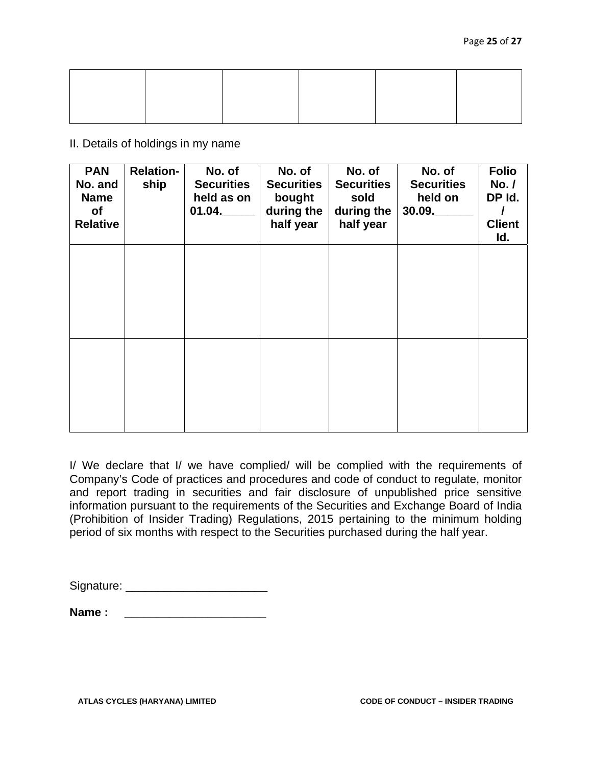II. Details of holdings in my name

| <b>PAN</b><br>No. and<br><b>Name</b><br><b>of</b><br><b>Relative</b> | <b>Relation-</b><br>ship | No. of<br><b>Securities</b><br>held as on<br>01.04. | No. of<br><b>Securities</b><br>bought<br>during the<br>half year | No. of<br><b>Securities</b><br>sold<br>during the<br>half year | No. of<br><b>Securities</b><br>held on<br>30.09. | <b>Folio</b><br>No./<br>DP Id.<br><b>Client</b><br>ld. |
|----------------------------------------------------------------------|--------------------------|-----------------------------------------------------|------------------------------------------------------------------|----------------------------------------------------------------|--------------------------------------------------|--------------------------------------------------------|
|                                                                      |                          |                                                     |                                                                  |                                                                |                                                  |                                                        |
|                                                                      |                          |                                                     |                                                                  |                                                                |                                                  |                                                        |

I/ We declare that I/ we have complied/ will be complied with the requirements of Company's Code of practices and procedures and code of conduct to regulate, monitor and report trading in securities and fair disclosure of unpublished price sensitive information pursuant to the requirements of the Securities and Exchange Board of India (Prohibition of Insider Trading) Regulations, 2015 pertaining to the minimum holding period of six months with respect to the Securities purchased during the half year.

**Name : \_\_\_\_\_\_\_\_\_\_\_\_\_\_\_\_\_\_\_\_\_\_**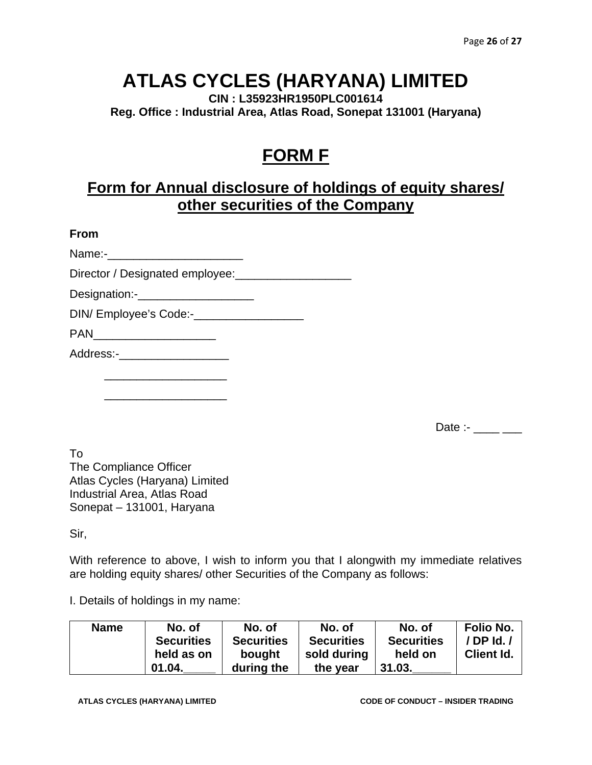**CIN : L35923HR1950PLC001614 Reg. Office : Industrial Area, Atlas Road, Sonepat 131001 (Haryana)** 

### **FORM F**

### **Form for Annual disclosure of holdings of equity shares/ other securities of the Company**

#### **From**

Name:-

Director / Designated employee:\_\_\_\_\_\_\_\_\_\_\_\_\_\_\_\_\_\_

Designation:-\_\_\_\_\_\_\_\_\_\_\_\_\_\_\_\_\_\_

DIN/ Employee's Code:-

PAN\_\_\_\_\_\_\_\_\_\_\_\_\_\_\_\_\_\_\_

Address:-

 $\frac{1}{\sqrt{2}}$  ,  $\frac{1}{\sqrt{2}}$  ,  $\frac{1}{\sqrt{2}}$  ,  $\frac{1}{\sqrt{2}}$  ,  $\frac{1}{\sqrt{2}}$  ,  $\frac{1}{\sqrt{2}}$  ,  $\frac{1}{\sqrt{2}}$  ,  $\frac{1}{\sqrt{2}}$  ,  $\frac{1}{\sqrt{2}}$  ,  $\frac{1}{\sqrt{2}}$  ,  $\frac{1}{\sqrt{2}}$  ,  $\frac{1}{\sqrt{2}}$  ,  $\frac{1}{\sqrt{2}}$  ,  $\frac{1}{\sqrt{2}}$  ,  $\frac{1}{\sqrt{2}}$ 

 $\frac{1}{\sqrt{2}}$  ,  $\frac{1}{\sqrt{2}}$  ,  $\frac{1}{\sqrt{2}}$  ,  $\frac{1}{\sqrt{2}}$  ,  $\frac{1}{\sqrt{2}}$  ,  $\frac{1}{\sqrt{2}}$  ,  $\frac{1}{\sqrt{2}}$  ,  $\frac{1}{\sqrt{2}}$  ,  $\frac{1}{\sqrt{2}}$  ,  $\frac{1}{\sqrt{2}}$  ,  $\frac{1}{\sqrt{2}}$  ,  $\frac{1}{\sqrt{2}}$  ,  $\frac{1}{\sqrt{2}}$  ,  $\frac{1}{\sqrt{2}}$  ,  $\frac{1}{\sqrt{2}}$ 

Date :- $\frac{1}{2}$ 

To The Compliance Officer Atlas Cycles (Haryana) Limited Industrial Area, Atlas Road Sonepat – 131001, Haryana

Sir,

With reference to above, I wish to inform you that I alongwith my immediate relatives are holding equity shares/ other Securities of the Company as follows:

I. Details of holdings in my name:

| <b>Name</b> | No. of            | No. of            | No. of            | No. of            | Folio No.         |
|-------------|-------------------|-------------------|-------------------|-------------------|-------------------|
|             | <b>Securities</b> | <b>Securities</b> | <b>Securities</b> | <b>Securities</b> | / DP Id. /        |
|             | held as on        | bought            | sold during       | held on           | <b>Client Id.</b> |
|             | 01.04.            | during the        | the year          | 31.03.            |                   |